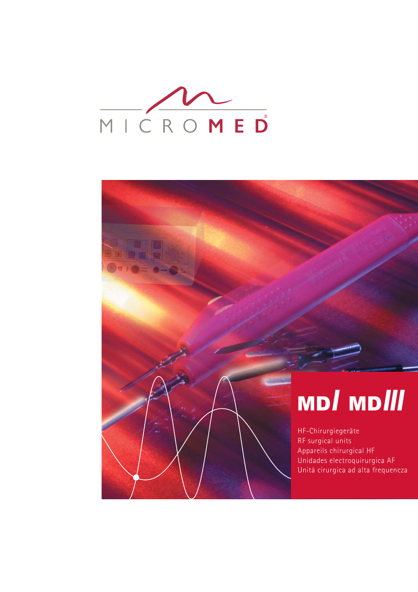

# MD*I* MD*III*

HF-Chirurgiegeräte RF surgical units Appareils chirurgical HF Unidades electroquirurgica AF Unità cirurgica ad alta frequencza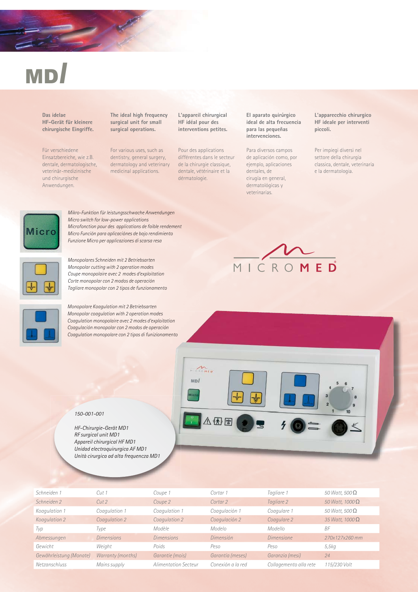# MD*I*

**Das idelae HF-Gerät für kleinere chirurgische Eingriffe.**

Für verschiedene Einsatzbereiche, wie z.B. dentale, dermatologische, veterinär-medizinische und chirurgische Anwendungen.

**The ideal high frequency surgical unit for small surgical operations.** 

For various uses, such as dentistry, general surgery, dermatology and veterinary medicinal applications.

**L'appareil chirurgical HF idéal pour des interventions petites.**

Pour des applications différentes dans le secteur de la chirurgie classique. dentale, vétérinaire et la dérmatologie.

**El aparato quirúrgico ideal de alta frecuencia para las pequeñas intervenciones.**

Para diversos campos de aplicación como, por ejemplo, aplicaciones dentales, de cirugía en general, dermatológicas y veterinarias.

**L'apparecchio chirurgico HF ideale per interventi piccoli.**

Per impiegi diversi nel settore della chirurgia classica, dentale, veterinaria e la dermatologia.



*Mikro-Funktion für leistungsschwache Anwendungen Micro switch for low-power applications Microfonction pour des applications de faible rendement Micro Función para aplicaciónes de bajo rendimiento Funzione Micro per applicaziones di scarsa resa*



*Monopolares Schneiden mit 2 Betriebsarten Monopolar cutting with 2 operation modes Coupe monopolaire avec 2 modes d'exploitation Corte monopolar con 2 modos de operación Tagliare monopolar con 2 tipos de funzionamento*



*Monopolare Koagulation mit 2 Betriebsarten Monopolar coagulation with 2 operation modes Coagulation monopolaire avec 2 modes d'exploitation Coagulación monopolar con 2 modos de operación Coagulation monopolare con 2 tipos di funizionamento*





*HF-Chirurgie-Gerät MD1 RF surgical unit MD1 Appareil chirurgical HF MD1 Unidad electroquirurgica AF MD1 Unità cirurgica ad alta frequencza MD1*



**CROMED**  $MDI$ 

休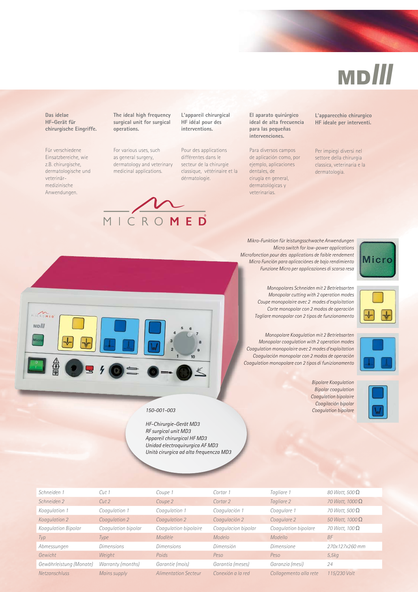## MD*III*

**Das idelae HF-Gerät für chirurgische Eingriffe.**

Für verschiedene Einsatzbereiche, wie z.B. chirurgische, dermatologische und veterinärmedizinische Anwendungen.

**The ideal high frequency surgical unit for surgical operations.** 

For various uses, such as general surgery, dermatology and veterinary medicinal applications.



**L'appareil chirurgical HF idéal pour des interventions.**

Pour des applications différentes dans le secteur de la chirurgie classique, vétérinaire et la dérmatologie.

**El aparato quirúrgico ideal de alta frecuencia para las pequeñas intervenciones.**

Para diversos campos de aplicación como, por ejemplo, aplicaciones dentales, de cirugía en general, dermatológicas y veterinarias.

**L'apparecchio chirurgico HF ideale per interventi.**

Per impiegi diversi nel settore della chirurgia classica, veterinaria e la dermatologia.

*Mikro-Funktion für leistungsschwache Anwendungen Micro switch for low-power applications Microfonction pour des applications de faible rendement Micro Función para aplicaciónes de bajo rendimiento Funzione Micro per applicaziones di scarsa resa*



*Monopolares Schneiden mit 2 Betriebsarten Monopolar cutting with 2 operation modes Coupe monopolaire avec 2 modes d'exploitation Corte monopolar con 2 modos de operación Tagliare monopolar con 2 tipos de funzionamento*

*Monopolare Koagulation mit 2 Betriebsarten Monopolar coagulation with 2 operation modes Coagulation monopolaire avec 2 modes d'exploitation Coagulación monopolar con 2 modos de operación Coagulation monopolare con 2 tipos di funizionamento*



*Bipolare Koagulation Bipolar coagulation Coagulation bipolaire Coagilación bipolar Coagulation bipolare*





| Schneiden 1             | Cut1                | Coupe 1                     | Cortar 1            | Tagliare 1             | 80 Watt, 500 $\Omega$ |
|-------------------------|---------------------|-----------------------------|---------------------|------------------------|-----------------------|
| Schneiden 2             | Cut2                | Coupe 2                     | Cortar 2            | Tagliare 2             | 70 Watt, $1000\Omega$ |
| Koagulation 1           | Coagulation 1       | Coagulation 1               | Coagulación 1       | Coagulare 1            | 70 Watt, 500 $\Omega$ |
| Koagulation 2           | Coagulation 2       | Coagulation 2               | Coagulación 2       | Coagulare 2            | 50 Watt, $1000\Omega$ |
| Koagulation Bipolar     | Coagulation bipolar | Coagulation bipolaire       | Coagulacion bipolar | Coagulation bipolare   | 70 Watt, 100 $\Omega$ |
| Typ                     | Type                | Modlèle                     | Modelo              | Modello                | <b>BF</b>             |
| Abmessungen             | <b>Dimensions</b>   | Dimensions                  | Dimensión           | <i>Dimensione</i>      | 270x127x260 mm        |
| Gewicht                 | Weight              | Poids                       | Peso                | Peso                   | 5,5kq                 |
| Gewährleistung (Monate) | Warranty (months)   | Garantie (mois)             | Garantía (meses)    | Garanzia (mesi)        | 24                    |
| Netzanschluss           | Mains supply        | <b>Alimentation Secteur</b> | Conexión a la red   | Collagemento alla rete | 115/230 Volt          |



#### *150-001-003*

*HF-Chirurgie-Gerät MD3 RF surgical unit MD3 Appareil chirurgical HF MD3 Unidad electroquirurgica AF MD3 Unità cirurgica ad alta frequencza MD3*